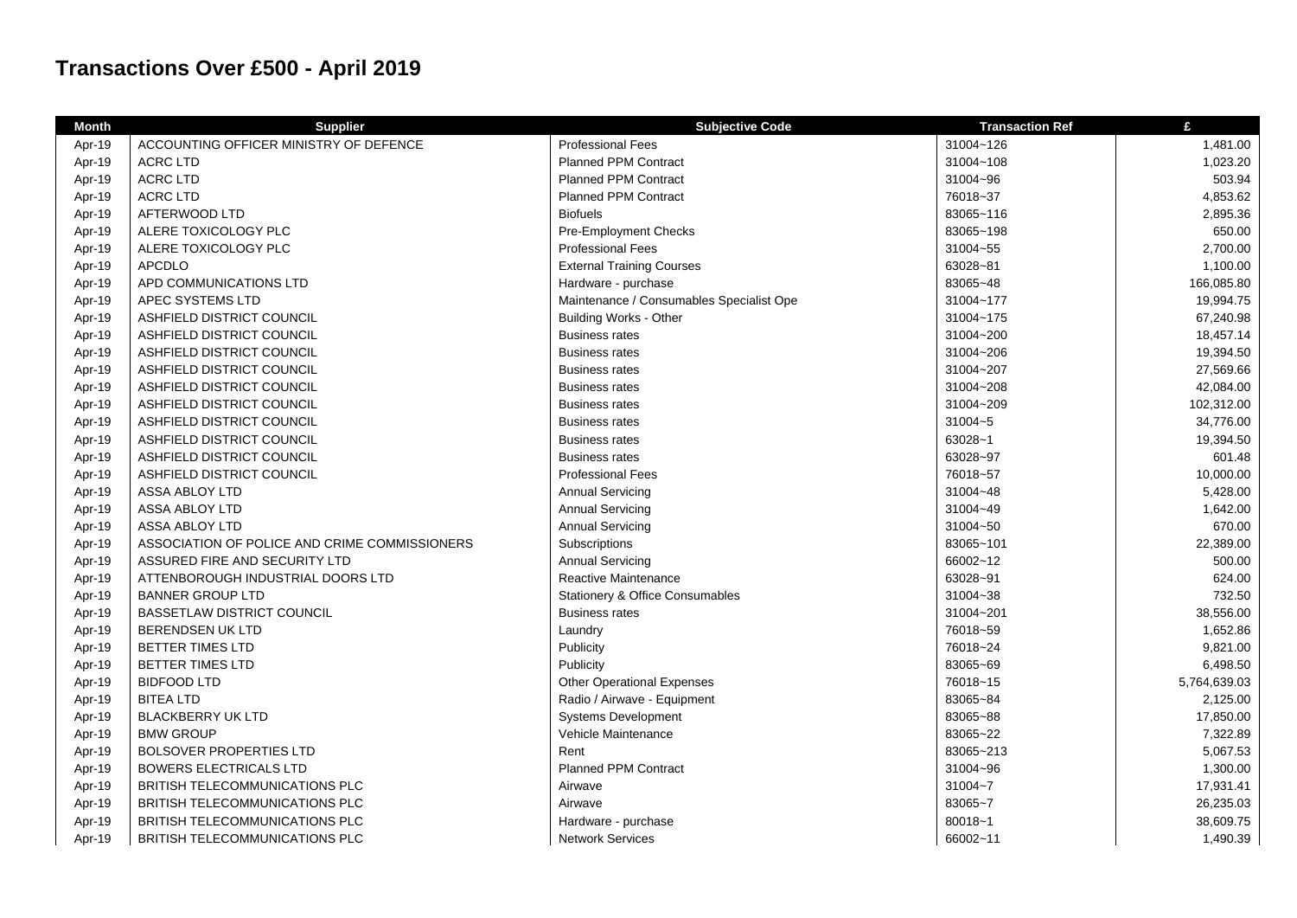## **Transactions Over £500 - April 2019**

| <b>Month</b> | <b>Supplier</b>                               | <b>Subjective Code</b>                   | <b>Transaction Ref</b> | £            |
|--------------|-----------------------------------------------|------------------------------------------|------------------------|--------------|
| Apr-19       | ACCOUNTING OFFICER MINISTRY OF DEFENCE        | <b>Professional Fees</b>                 | 31004~126              | 1,481.00     |
| Apr-19       | <b>ACRC LTD</b>                               | <b>Planned PPM Contract</b>              | 31004~108              | 1,023.20     |
| Apr-19       | <b>ACRC LTD</b>                               | Planned PPM Contract                     | 31004~96               | 503.94       |
| Apr-19       | <b>ACRC LTD</b>                               | <b>Planned PPM Contract</b>              | 76018~37               | 4,853.62     |
| Apr-19       | AFTERWOOD LTD                                 | <b>Biofuels</b>                          | 83065~116              | 2,895.36     |
| Apr-19       | ALERE TOXICOLOGY PLC                          | Pre-Employment Checks                    | 83065~198              | 650.00       |
| Apr-19       | ALERE TOXICOLOGY PLC                          | <b>Professional Fees</b>                 | 31004~55               | 2,700.00     |
| Apr-19       | <b>APCDLO</b>                                 | <b>External Training Courses</b>         | 63028~81               | 1,100.00     |
| Apr-19       | APD COMMUNICATIONS LTD                        | Hardware - purchase                      | 83065~48               | 166,085.80   |
| Apr-19       | APEC SYSTEMS LTD                              | Maintenance / Consumables Specialist Ope | 31004~177              | 19,994.75    |
| Apr-19       | ASHFIELD DISTRICT COUNCIL                     | <b>Building Works - Other</b>            | 31004~175              | 67,240.98    |
| Apr-19       | ASHFIELD DISTRICT COUNCIL                     | <b>Business rates</b>                    | 31004~200              | 18,457.14    |
| Apr-19       | ASHFIELD DISTRICT COUNCIL                     | <b>Business rates</b>                    | 31004~206              | 19,394.50    |
| Apr-19       | ASHFIELD DISTRICT COUNCIL                     | <b>Business rates</b>                    | 31004~207              | 27,569.66    |
| Apr-19       | ASHFIELD DISTRICT COUNCIL                     | <b>Business rates</b>                    | 31004~208              | 42,084.00    |
| Apr-19       | ASHFIELD DISTRICT COUNCIL                     | <b>Business rates</b>                    | 31004~209              | 102,312.00   |
| Apr-19       | ASHFIELD DISTRICT COUNCIL                     | <b>Business rates</b>                    | 31004~5                | 34,776.00    |
| Apr-19       | ASHFIELD DISTRICT COUNCIL                     | <b>Business rates</b>                    | 63028~1                | 19,394.50    |
| Apr-19       | ASHFIELD DISTRICT COUNCIL                     | <b>Business rates</b>                    | 63028~97               | 601.48       |
| Apr-19       | ASHFIELD DISTRICT COUNCIL                     | <b>Professional Fees</b>                 | 76018~57               | 10,000.00    |
| Apr-19       | <b>ASSA ABLOY LTD</b>                         | <b>Annual Servicing</b>                  | 31004~48               | 5,428.00     |
| Apr-19       | ASSA ABLOY LTD                                | <b>Annual Servicing</b>                  | 31004~49               | 1,642.00     |
| Apr-19       | ASSA ABLOY LTD                                | <b>Annual Servicing</b>                  | 31004~50               | 670.00       |
| Apr-19       | ASSOCIATION OF POLICE AND CRIME COMMISSIONERS | Subscriptions                            | 83065~101              | 22,389.00    |
| Apr-19       | ASSURED FIRE AND SECURITY LTD                 | <b>Annual Servicing</b>                  | 66002~12               | 500.00       |
| Apr-19       | ATTENBOROUGH INDUSTRIAL DOORS LTD             | Reactive Maintenance                     | 63028~91               | 624.00       |
| Apr-19       | <b>BANNER GROUP LTD</b>                       | Stationery & Office Consumables          | 31004~38               | 732.50       |
| Apr-19       | <b>BASSETLAW DISTRICT COUNCIL</b>             | <b>Business rates</b>                    | 31004~201              | 38,556.00    |
| Apr-19       | <b>BERENDSEN UK LTD</b>                       | Laundry                                  | 76018~59               | 1,652.86     |
| Apr-19       | <b>BETTER TIMES LTD</b>                       | Publicity                                | 76018~24               | 9,821.00     |
| Apr-19       | <b>BETTER TIMES LTD</b>                       | Publicity                                | 83065~69               | 6,498.50     |
| Apr-19       | <b>BIDFOOD LTD</b>                            | <b>Other Operational Expenses</b>        | 76018~15               | 5,764,639.03 |
| Apr-19       | <b>BITEA LTD</b>                              | Radio / Airwave - Equipment              | 83065~84               | 2,125.00     |
| Apr-19       | <b>BLACKBERRY UK LTD</b>                      | <b>Systems Development</b>               | 83065~88               | 17,850.00    |
| Apr-19       | <b>BMW GROUP</b>                              | Vehicle Maintenance                      | 83065~22               | 7,322.89     |
| Apr-19       | <b>BOLSOVER PROPERTIES LTD</b>                | Rent                                     | 83065~213              | 5,067.53     |
| Apr-19       | <b>BOWERS ELECTRICALS LTD</b>                 | Planned PPM Contract                     | 31004~96               | 1,300.00     |
| Apr-19       | BRITISH TELECOMMUNICATIONS PLC                | Airwave                                  | 31004~7                | 17,931.41    |
| Apr-19       | BRITISH TELECOMMUNICATIONS PLC                | Airwave                                  | 83065~7                | 26,235.03    |
| Apr-19       | BRITISH TELECOMMUNICATIONS PLC                | Hardware - purchase                      | $80018 - 1$            | 38,609.75    |
| Apr-19       | BRITISH TELECOMMUNICATIONS PLC                | <b>Network Services</b>                  | 66002~11               | 1,490.39     |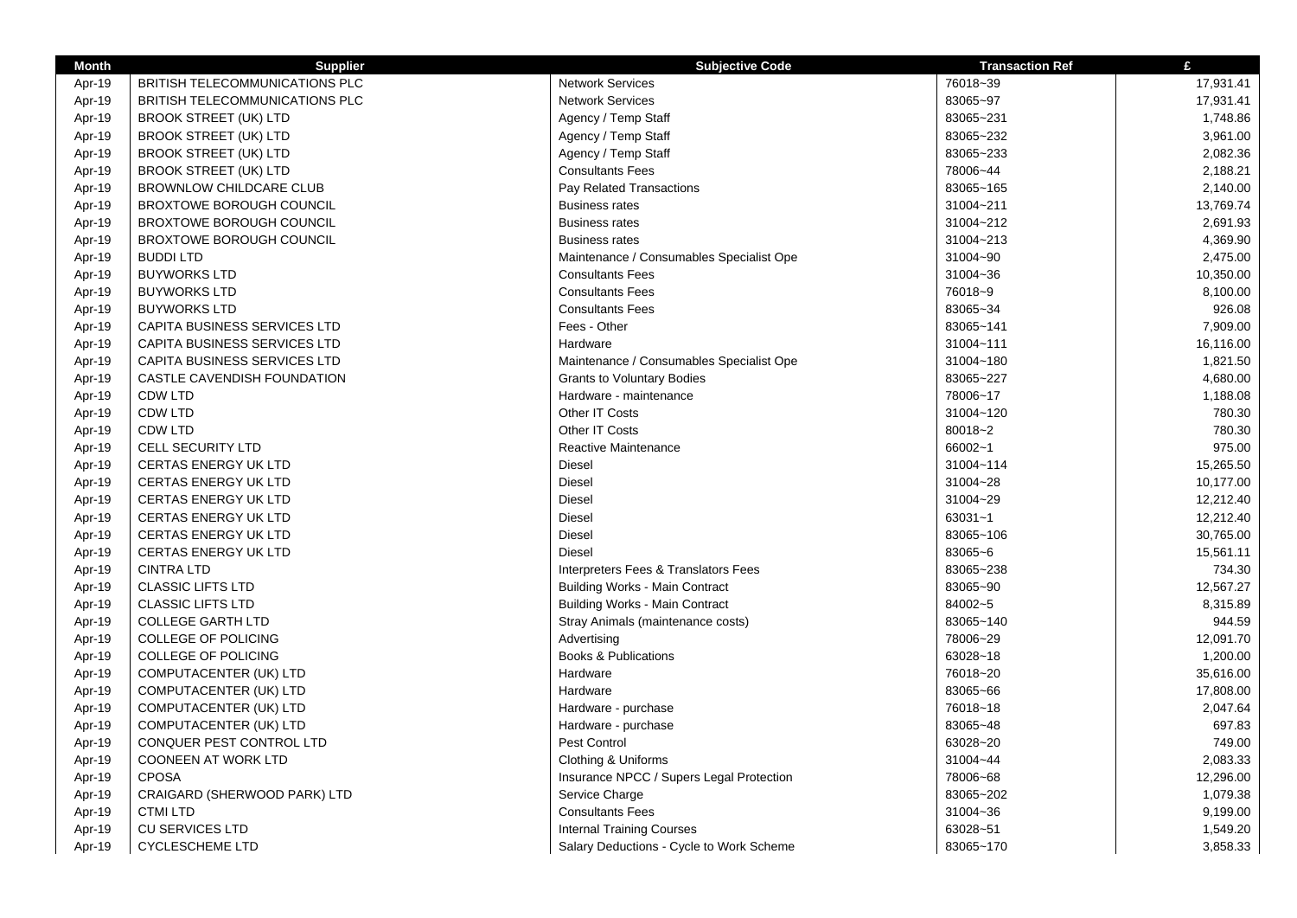| <b>Month</b> | <b>Supplier</b>                       | <b>Subjective Code</b>                   | <b>Transaction Ref</b> | £         |
|--------------|---------------------------------------|------------------------------------------|------------------------|-----------|
| Apr-19       | <b>BRITISH TELECOMMUNICATIONS PLC</b> | <b>Network Services</b>                  | 76018~39               | 17,931.41 |
| Apr-19       | <b>BRITISH TELECOMMUNICATIONS PLC</b> | <b>Network Services</b>                  | 83065~97               | 17,931.41 |
| Apr-19       | <b>BROOK STREET (UK) LTD</b>          | Agency / Temp Staff                      | 83065~231              | 1,748.86  |
| Apr-19       | <b>BROOK STREET (UK) LTD</b>          | Agency / Temp Staff                      | 83065~232              | 3,961.00  |
| Apr-19       | <b>BROOK STREET (UK) LTD</b>          | Agency / Temp Staff                      | 83065~233              | 2,082.36  |
| Apr-19       | <b>BROOK STREET (UK) LTD</b>          | <b>Consultants Fees</b>                  | 78006~44               | 2,188.21  |
| Apr-19       | BROWNLOW CHILDCARE CLUB               | Pay Related Transactions                 | 83065~165              | 2,140.00  |
| Apr-19       | <b>BROXTOWE BOROUGH COUNCIL</b>       | <b>Business rates</b>                    | 31004~211              | 13,769.74 |
| Apr-19       | <b>BROXTOWE BOROUGH COUNCIL</b>       | <b>Business rates</b>                    | 31004~212              | 2,691.93  |
| Apr-19       | <b>BROXTOWE BOROUGH COUNCIL</b>       | <b>Business rates</b>                    | 31004~213              | 4,369.90  |
| Apr-19       | <b>BUDDILTD</b>                       | Maintenance / Consumables Specialist Ope | 31004~90               | 2,475.00  |
| Apr-19       | <b>BUYWORKS LTD</b>                   | <b>Consultants Fees</b>                  | 31004~36               | 10,350.00 |
| Apr-19       | <b>BUYWORKS LTD</b>                   | <b>Consultants Fees</b>                  | 76018~9                | 8,100.00  |
| Apr-19       | <b>BUYWORKS LTD</b>                   | <b>Consultants Fees</b>                  | 83065~34               | 926.08    |
| Apr-19       | CAPITA BUSINESS SERVICES LTD          | Fees - Other                             | 83065~141              | 7,909.00  |
| Apr-19       | <b>CAPITA BUSINESS SERVICES LTD</b>   | Hardware                                 | 31004~111              | 16,116.00 |
| Apr-19       | <b>CAPITA BUSINESS SERVICES LTD</b>   | Maintenance / Consumables Specialist Ope | 31004~180              | 1,821.50  |
| Apr-19       | CASTLE CAVENDISH FOUNDATION           | <b>Grants to Voluntary Bodies</b>        | 83065~227              | 4,680.00  |
| Apr-19       | <b>CDW LTD</b>                        | Hardware - maintenance                   | 78006~17               | 1,188.08  |
| Apr-19       | <b>CDW LTD</b>                        | Other IT Costs                           | 31004~120              | 780.30    |
| Apr-19       | <b>CDW LTD</b>                        | Other IT Costs                           | 80018~2                | 780.30    |
|              | <b>CELL SECURITY LTD</b>              | Reactive Maintenance                     | 66002~1                | 975.00    |
| Apr-19       | <b>CERTAS ENERGY UK LTD</b>           | Diesel                                   | 31004~114              | 15,265.50 |
| Apr-19       |                                       | <b>Diesel</b>                            | 31004~28               |           |
| Apr-19       | <b>CERTAS ENERGY UK LTD</b>           |                                          |                        | 10,177.00 |
| Apr-19       | <b>CERTAS ENERGY UK LTD</b>           | Diesel                                   | 31004~29               | 12,212.40 |
| Apr-19       | CERTAS ENERGY UK LTD                  | Diesel                                   | 63031~1                | 12,212.40 |
| Apr-19       | <b>CERTAS ENERGY UK LTD</b>           | Diesel                                   | 83065~106              | 30,765.00 |
| Apr-19       | <b>CERTAS ENERGY UK LTD</b>           | <b>Diesel</b>                            | 83065~6                | 15,561.11 |
| Apr-19       | <b>CINTRA LTD</b>                     | Interpreters Fees & Translators Fees     | 83065~238              | 734.30    |
| Apr-19       | <b>CLASSIC LIFTS LTD</b>              | <b>Building Works - Main Contract</b>    | 83065~90               | 12,567.27 |
| Apr-19       | <b>CLASSIC LIFTS LTD</b>              | <b>Building Works - Main Contract</b>    | 84002~5                | 8,315.89  |
| Apr-19       | <b>COLLEGE GARTH LTD</b>              | Stray Animals (maintenance costs)        | 83065~140              | 944.59    |
| Apr-19       | <b>COLLEGE OF POLICING</b>            | Advertising                              | 78006~29               | 12,091.70 |
| Apr-19       | <b>COLLEGE OF POLICING</b>            | <b>Books &amp; Publications</b>          | 63028~18               | 1,200.00  |
| Apr-19       | COMPUTACENTER (UK) LTD                | Hardware                                 | 76018~20               | 35,616.00 |
| Apr-19       | COMPUTACENTER (UK) LTD                | Hardware                                 | 83065~66               | 17,808.00 |
| Apr-19       | COMPUTACENTER (UK) LTD                | Hardware - purchase                      | 76018~18               | 2,047.64  |
| Apr-19       | COMPUTACENTER (UK) LTD                | Hardware - purchase                      | 83065~48               | 697.83    |
| Apr-19       | CONQUER PEST CONTROL LTD              | Pest Control                             | 63028~20               | 749.00    |
| Apr-19       | COONEEN AT WORK LTD                   | Clothing & Uniforms                      | 31004~44               | 2,083.33  |
| Apr-19       | <b>CPOSA</b>                          | Insurance NPCC / Supers Legal Protection | 78006~68               | 12,296.00 |
| Apr-19       | CRAIGARD (SHERWOOD PARK) LTD          | Service Charge                           | 83065~202              | 1,079.38  |
| Apr-19       | <b>CTMI LTD</b>                       | <b>Consultants Fees</b>                  | 31004~36               | 9,199.00  |
| Apr-19       | <b>CU SERVICES LTD</b>                | <b>Internal Training Courses</b>         | 63028~51               | 1,549.20  |
| Apr-19       | <b>CYCLESCHEME LTD</b>                | Salary Deductions - Cycle to Work Scheme | 83065~170              | 3,858.33  |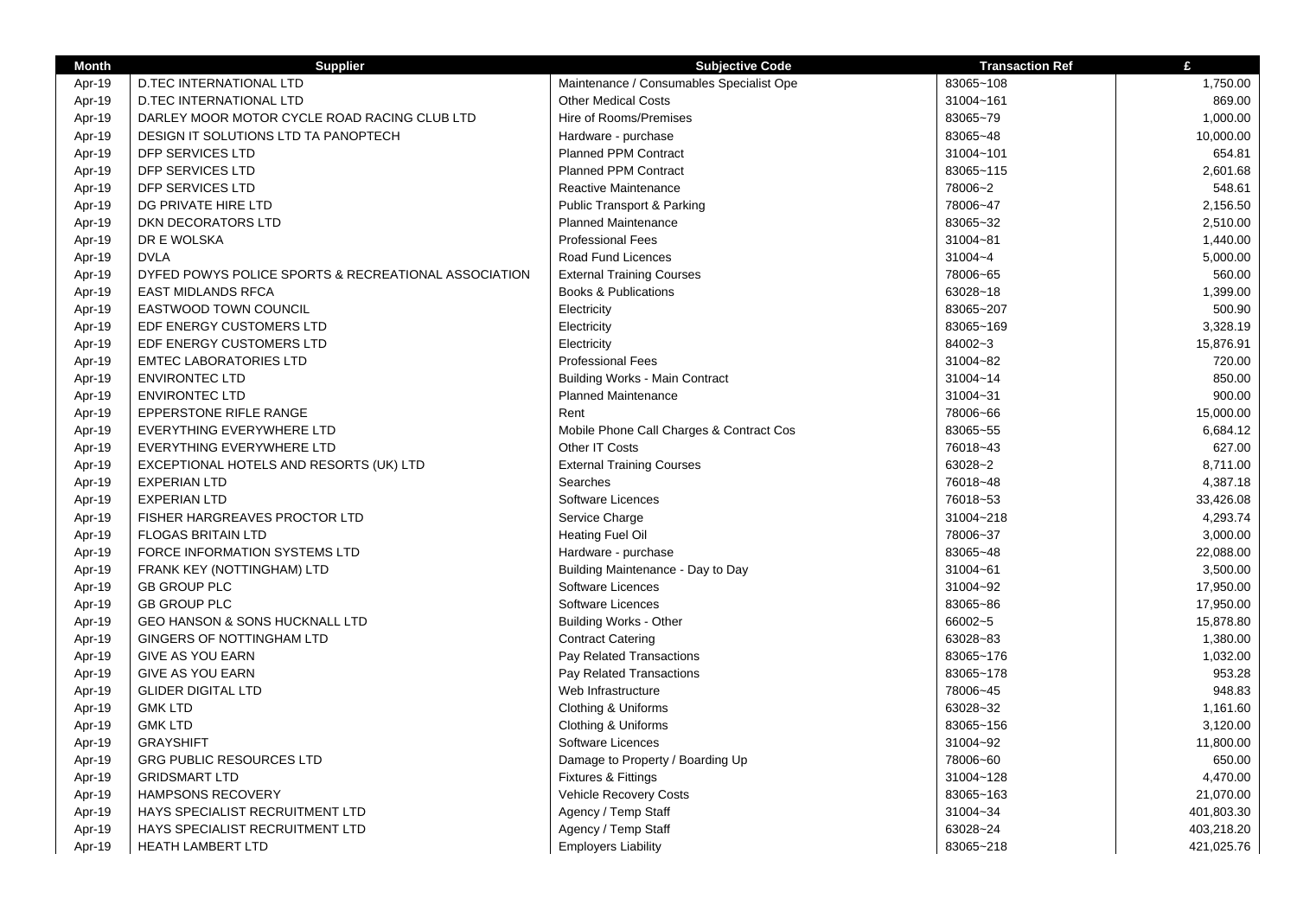| <b>Month</b> | <b>Supplier</b>                                      | <b>Subjective Code</b>                   | <b>Transaction Ref</b> | £          |
|--------------|------------------------------------------------------|------------------------------------------|------------------------|------------|
| Apr-19       | <b>D.TEC INTERNATIONAL LTD</b>                       | Maintenance / Consumables Specialist Ope | 83065~108              | 1,750.00   |
| Apr-19       | <b>D.TEC INTERNATIONAL LTD</b>                       | <b>Other Medical Costs</b>               | 31004~161              | 869.00     |
| Apr-19       | DARLEY MOOR MOTOR CYCLE ROAD RACING CLUB LTD         | Hire of Rooms/Premises                   | 83065~79               | 1,000.00   |
| Apr-19       | DESIGN IT SOLUTIONS LTD TA PANOPTECH                 | Hardware - purchase                      | 83065~48               | 10,000.00  |
| Apr-19       | DFP SERVICES LTD                                     | Planned PPM Contract                     | 31004~101              | 654.81     |
| Apr-19       | <b>DFP SERVICES LTD</b>                              | Planned PPM Contract                     | 83065~115              | 2,601.68   |
| Apr-19       | DFP SERVICES LTD                                     | Reactive Maintenance                     | 78006~2                | 548.61     |
| Apr-19       | DG PRIVATE HIRE LTD                                  | Public Transport & Parking               | 78006~47               | 2,156.50   |
| Apr-19       | DKN DECORATORS LTD                                   | <b>Planned Maintenance</b>               | 83065~32               | 2,510.00   |
| Apr-19       | DR E WOLSKA                                          | <b>Professional Fees</b>                 | 31004~81               | 1,440.00   |
| Apr-19       | <b>DVLA</b>                                          | Road Fund Licences                       | 31004~4                | 5,000.00   |
| Apr-19       | DYFED POWYS POLICE SPORTS & RECREATIONAL ASSOCIATION | <b>External Training Courses</b>         | 78006~65               | 560.00     |
| Apr-19       | <b>EAST MIDLANDS RFCA</b>                            | <b>Books &amp; Publications</b>          | 63028~18               | 1,399.00   |
| Apr-19       | <b>EASTWOOD TOWN COUNCIL</b>                         | Electricity                              | 83065~207              | 500.90     |
| Apr-19       | EDF ENERGY CUSTOMERS LTD                             | Electricity                              | 83065~169              | 3,328.19   |
| Apr-19       | EDF ENERGY CUSTOMERS LTD                             | Electricity                              | 84002~3                | 15,876.91  |
| Apr-19       | <b>EMTEC LABORATORIES LTD</b>                        | <b>Professional Fees</b>                 | 31004~82               | 720.00     |
| Apr-19       | <b>ENVIRONTEC LTD</b>                                | <b>Building Works - Main Contract</b>    | 31004~14               | 850.00     |
| Apr-19       | <b>ENVIRONTEC LTD</b>                                | <b>Planned Maintenance</b>               | 31004~31               | 900.00     |
| Apr-19       | EPPERSTONE RIFLE RANGE                               | Rent                                     | 78006~66               | 15,000.00  |
| Apr-19       | EVERYTHING EVERYWHERE LTD                            | Mobile Phone Call Charges & Contract Cos | 83065~55               | 6,684.12   |
| Apr-19       | EVERYTHING EVERYWHERE LTD                            | Other IT Costs                           | 76018~43               | 627.00     |
| Apr-19       | EXCEPTIONAL HOTELS AND RESORTS (UK) LTD              | <b>External Training Courses</b>         | 63028~2                | 8,711.00   |
| Apr-19       | <b>EXPERIAN LTD</b>                                  | Searches                                 | 76018~48               | 4,387.18   |
| Apr-19       | <b>EXPERIAN LTD</b>                                  | Software Licences                        | 76018~53               | 33,426.08  |
| Apr-19       | FISHER HARGREAVES PROCTOR LTD                        | Service Charge                           | 31004~218              | 4,293.74   |
| Apr-19       | <b>FLOGAS BRITAIN LTD</b>                            | <b>Heating Fuel Oil</b>                  | 78006~37               | 3,000.00   |
| Apr-19       | FORCE INFORMATION SYSTEMS LTD                        | Hardware - purchase                      | 83065~48               | 22,088.00  |
| Apr-19       | FRANK KEY (NOTTINGHAM) LTD                           | Building Maintenance - Day to Day        | 31004~61               | 3,500.00   |
| Apr-19       | <b>GB GROUP PLC</b>                                  | Software Licences                        | 31004~92               | 17,950.00  |
| Apr-19       | <b>GB GROUP PLC</b>                                  | Software Licences                        | 83065~86               | 17,950.00  |
| Apr-19       | GEO HANSON & SONS HUCKNALL LTD                       | <b>Building Works - Other</b>            | 66002~5                | 15,878.80  |
| Apr-19       | GINGERS OF NOTTINGHAM LTD                            | <b>Contract Catering</b>                 | 63028~83               | 1,380.00   |
| Apr-19       | <b>GIVE AS YOU EARN</b>                              | Pay Related Transactions                 | 83065~176              | 1,032.00   |
| Apr-19       | <b>GIVE AS YOU EARN</b>                              | Pay Related Transactions                 | 83065~178              | 953.28     |
| Apr-19       | <b>GLIDER DIGITAL LTD</b>                            | Web Infrastructure                       | 78006~45               | 948.83     |
| Apr-19       | <b>GMK LTD</b>                                       | Clothing & Uniforms                      | 63028~32               | 1,161.60   |
| Apr-19       | <b>GMK LTD</b>                                       | Clothing & Uniforms                      | 83065~156              | 3,120.00   |
| Apr-19       | <b>GRAYSHIFT</b>                                     | Software Licences                        | 31004~92               | 11,800.00  |
| Apr-19       | <b>GRG PUBLIC RESOURCES LTD</b>                      | Damage to Property / Boarding Up         | 78006~60               | 650.00     |
| Apr-19       | <b>GRIDSMART LTD</b>                                 | <b>Fixtures &amp; Fittings</b>           | 31004~128              | 4,470.00   |
| Apr-19       | <b>HAMPSONS RECOVERY</b>                             | Vehicle Recovery Costs                   | 83065~163              | 21,070.00  |
| Apr-19       | HAYS SPECIALIST RECRUITMENT LTD                      | Agency / Temp Staff                      | 31004~34               | 401,803.30 |
| Apr-19       | HAYS SPECIALIST RECRUITMENT LTD                      | Agency / Temp Staff                      | 63028~24               | 403,218.20 |
| Apr-19       | <b>HEATH LAMBERT LTD</b>                             | <b>Employers Liability</b>               | 83065~218              | 421,025.76 |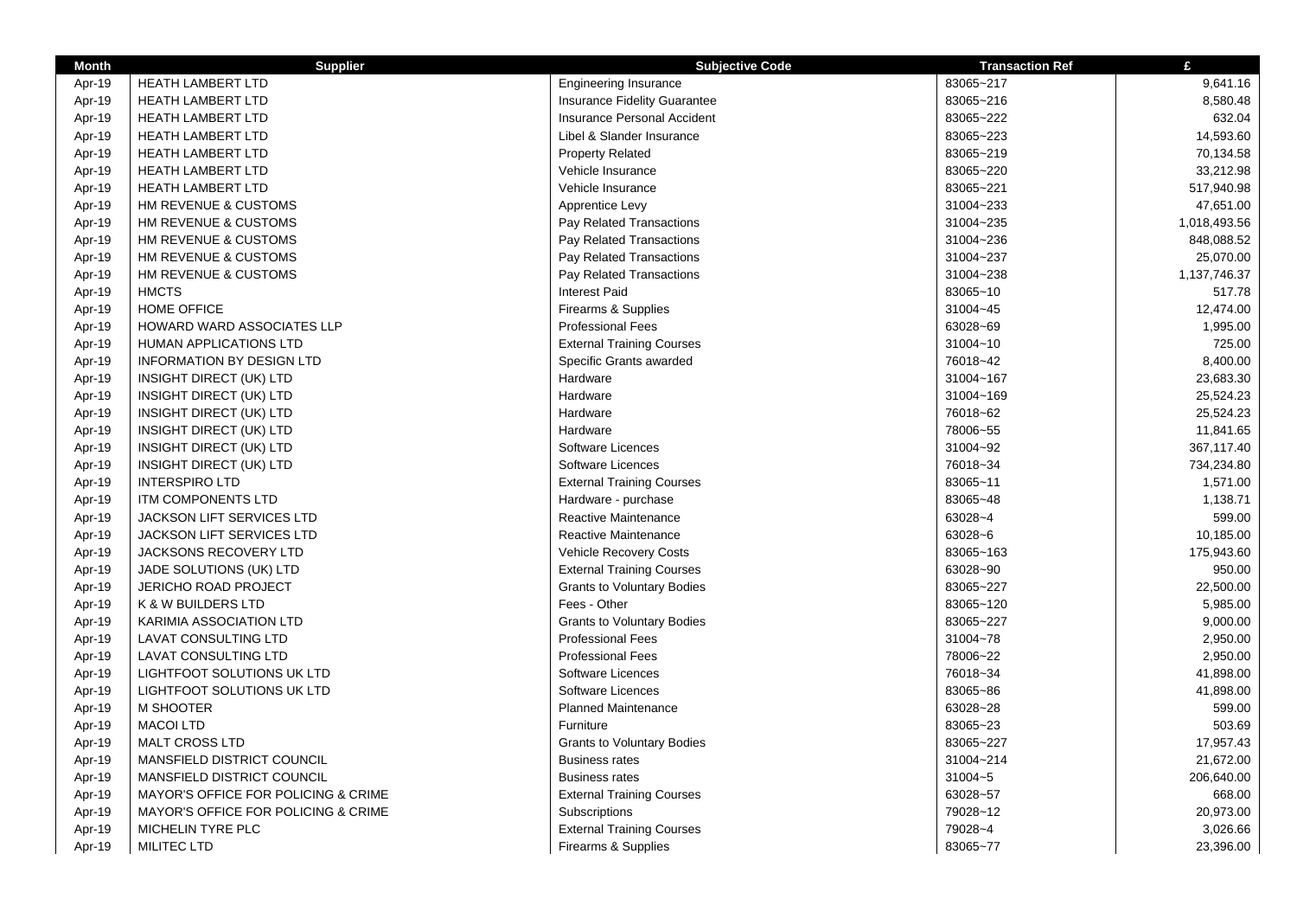| <b>Month</b> | <b>Supplier</b>                     | <b>Subjective Code</b>            | <b>Transaction Ref</b> | £            |
|--------------|-------------------------------------|-----------------------------------|------------------------|--------------|
| Apr-19       | <b>HEATH LAMBERT LTD</b>            | <b>Engineering Insurance</b>      | 83065~217              | 9,641.16     |
| Apr-19       | HEATH LAMBERT LTD                   | Insurance Fidelity Guarantee      | 83065~216              | 8,580.48     |
| Apr-19       | HEATH LAMBERT LTD                   | Insurance Personal Accident       | 83065~222              | 632.04       |
| Apr-19       | <b>HEATH LAMBERT LTD</b>            | Libel & Slander Insurance         | 83065~223              | 14,593.60    |
| Apr-19       | <b>HEATH LAMBERT LTD</b>            | <b>Property Related</b>           | 83065~219              | 70,134.58    |
| Apr-19       | <b>HEATH LAMBERT LTD</b>            | Vehicle Insurance                 | 83065~220              | 33,212.98    |
| Apr-19       | <b>HEATH LAMBERT LTD</b>            | Vehicle Insurance                 | 83065~221              | 517,940.98   |
| Apr-19       | HM REVENUE & CUSTOMS                | Apprentice Levy                   | 31004~233              | 47,651.00    |
| Apr-19       | HM REVENUE & CUSTOMS                | Pay Related Transactions          | 31004~235              | 1,018,493.56 |
| Apr-19       | HM REVENUE & CUSTOMS                | Pay Related Transactions          | 31004~236              | 848,088.52   |
| Apr-19       | HM REVENUE & CUSTOMS                | Pay Related Transactions          | 31004~237              | 25,070.00    |
| Apr-19       | HM REVENUE & CUSTOMS                | Pay Related Transactions          | 31004~238              | 1,137,746.37 |
| Apr-19       | <b>HMCTS</b>                        | <b>Interest Paid</b>              | 83065~10               | 517.78       |
| Apr-19       | HOME OFFICE                         | Firearms & Supplies               | 31004~45               | 12,474.00    |
| Apr-19       | HOWARD WARD ASSOCIATES LLP          | <b>Professional Fees</b>          | 63028~69               | 1,995.00     |
| Apr-19       | <b>HUMAN APPLICATIONS LTD</b>       | <b>External Training Courses</b>  | 31004~10               | 725.00       |
| Apr-19       | <b>INFORMATION BY DESIGN LTD</b>    | Specific Grants awarded           | 76018~42               | 8,400.00     |
| Apr-19       | INSIGHT DIRECT (UK) LTD             | Hardware                          | 31004~167              | 23,683.30    |
| Apr-19       | INSIGHT DIRECT (UK) LTD             | Hardware                          | 31004~169              | 25,524.23    |
| Apr-19       | INSIGHT DIRECT (UK) LTD             | Hardware                          | 76018~62               | 25,524.23    |
| Apr-19       | INSIGHT DIRECT (UK) LTD             | Hardware                          | 78006~55               | 11,841.65    |
| Apr-19       | <b>INSIGHT DIRECT (UK) LTD</b>      | Software Licences                 | 31004~92               | 367,117.40   |
| Apr-19       | <b>INSIGHT DIRECT (UK) LTD</b>      | Software Licences                 | 76018~34               | 734,234.80   |
| Apr-19       | <b>INTERSPIRO LTD</b>               | <b>External Training Courses</b>  | 83065~11               | 1,571.00     |
| Apr-19       | <b>ITM COMPONENTS LTD</b>           | Hardware - purchase               | 83065~48               | 1,138.71     |
| Apr-19       | <b>JACKSON LIFT SERVICES LTD</b>    | <b>Reactive Maintenance</b>       | 63028~4                | 599.00       |
| Apr-19       | <b>JACKSON LIFT SERVICES LTD</b>    | Reactive Maintenance              | 63028~6                | 10,185.00    |
| Apr-19       | JACKSONS RECOVERY LTD               | Vehicle Recovery Costs            | 83065~163              | 175,943.60   |
| Apr-19       | JADE SOLUTIONS (UK) LTD             | <b>External Training Courses</b>  | 63028~90               | 950.00       |
| Apr-19       | JERICHO ROAD PROJECT                | <b>Grants to Voluntary Bodies</b> | 83065~227              | 22,500.00    |
| Apr-19       | K & W BUILDERS LTD                  | Fees - Other                      | 83065~120              | 5,985.00     |
| Apr-19       | KARIMIA ASSOCIATION LTD             | <b>Grants to Voluntary Bodies</b> | 83065~227              | 9,000.00     |
| Apr-19       | <b>LAVAT CONSULTING LTD</b>         | <b>Professional Fees</b>          | 31004~78               | 2,950.00     |
| Apr-19       | LAVAT CONSULTING LTD                | <b>Professional Fees</b>          | 78006~22               | 2,950.00     |
| Apr-19       | LIGHTFOOT SOLUTIONS UK LTD          | Software Licences                 | 76018~34               | 41,898.00    |
| Apr-19       | <b>LIGHTFOOT SOLUTIONS UK LTD</b>   | Software Licences                 | 83065~86               | 41,898.00    |
| Apr-19       | M SHOOTER                           | <b>Planned Maintenance</b>        | 63028~28               | 599.00       |
| Apr-19       | <b>MACOI LTD</b>                    | Furniture                         | 83065~23               | 503.69       |
| Apr-19       | <b>MALT CROSS LTD</b>               | <b>Grants to Voluntary Bodies</b> | 83065~227              | 17,957.43    |
| Apr-19       | MANSFIELD DISTRICT COUNCIL          | <b>Business rates</b>             | 31004~214              | 21,672.00    |
| Apr-19       | MANSFIELD DISTRICT COUNCIL          | <b>Business rates</b>             | 31004~5                | 206,640.00   |
| Apr-19       | MAYOR'S OFFICE FOR POLICING & CRIME | <b>External Training Courses</b>  | 63028~57               | 668.00       |
| Apr-19       | MAYOR'S OFFICE FOR POLICING & CRIME | Subscriptions                     | 79028~12               | 20,973.00    |
| Apr-19       | MICHELIN TYRE PLC                   | <b>External Training Courses</b>  | 79028~4                | 3,026.66     |
| Apr-19       | <b>MILITEC LTD</b>                  | Firearms & Supplies               | 83065~77               | 23,396.00    |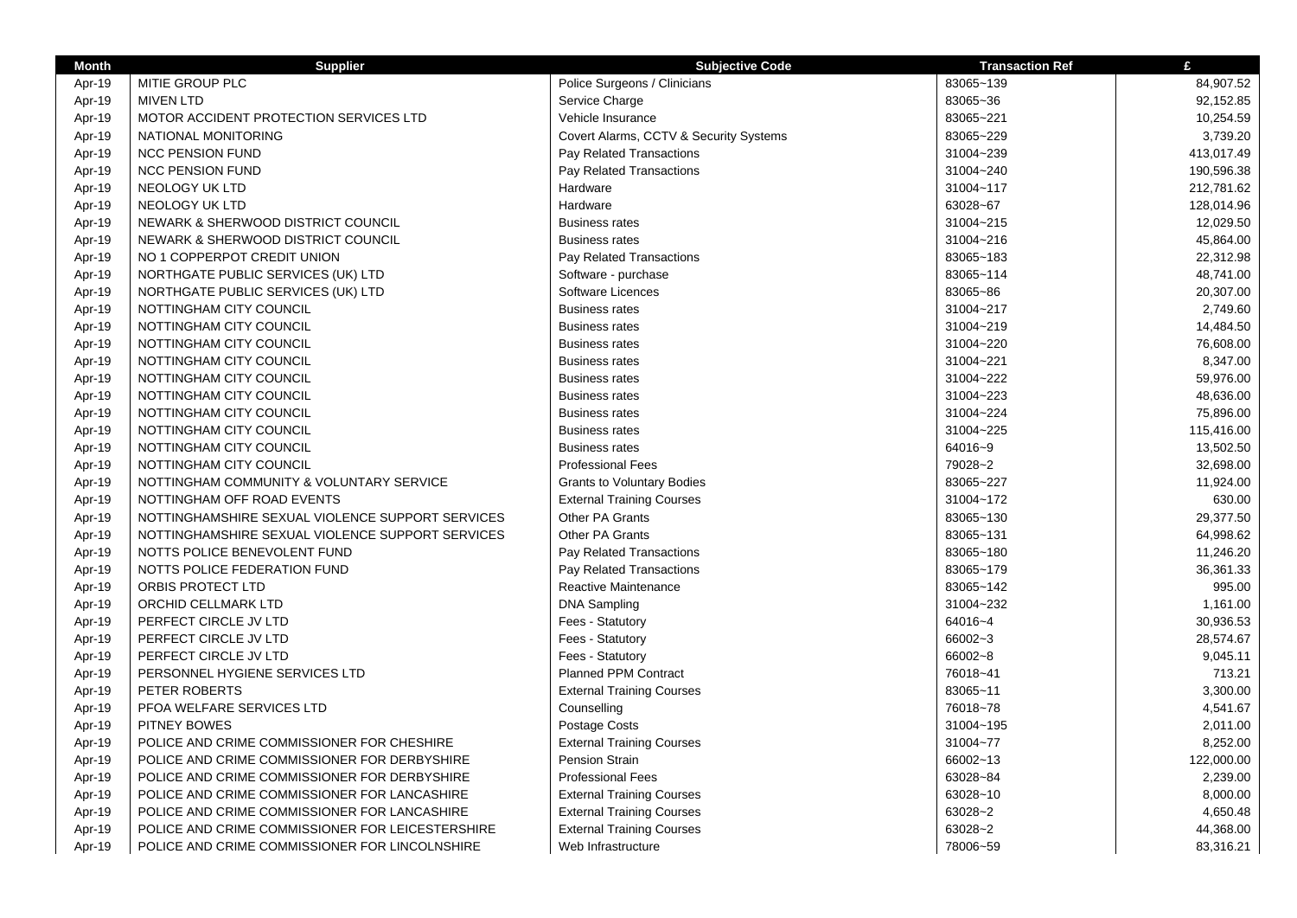| <b>Month</b> | <b>Supplier</b>                                  | <b>Subjective Code</b>                 | <b>Transaction Ref</b> | £          |
|--------------|--------------------------------------------------|----------------------------------------|------------------------|------------|
| Apr-19       | MITIE GROUP PLC                                  | Police Surgeons / Clinicians           | 83065~139              | 84,907.52  |
| Apr-19       | <b>MIVEN LTD</b>                                 | Service Charge                         | 83065~36               | 92,152.85  |
| Apr-19       | MOTOR ACCIDENT PROTECTION SERVICES LTD           | Vehicle Insurance                      | 83065~221              | 10,254.59  |
| Apr-19       | NATIONAL MONITORING                              | Covert Alarms, CCTV & Security Systems | 83065~229              | 3,739.20   |
| Apr-19       | <b>NCC PENSION FUND</b>                          | Pay Related Transactions               | 31004~239              | 413,017.49 |
| Apr-19       | <b>NCC PENSION FUND</b>                          | Pay Related Transactions               | 31004~240              | 190,596.38 |
| Apr-19       | <b>NEOLOGY UK LTD</b>                            | Hardware                               | 31004~117              | 212,781.62 |
| Apr-19       | NEOLOGY UK LTD                                   | Hardware                               | 63028~67               | 128,014.96 |
| Apr-19       | NEWARK & SHERWOOD DISTRICT COUNCIL               | <b>Business rates</b>                  | 31004~215              | 12,029.50  |
| Apr-19       | NEWARK & SHERWOOD DISTRICT COUNCIL               | <b>Business rates</b>                  | 31004~216              | 45,864.00  |
| Apr-19       | NO 1 COPPERPOT CREDIT UNION                      | Pay Related Transactions               | 83065~183              | 22,312.98  |
| Apr-19       | NORTHGATE PUBLIC SERVICES (UK) LTD               | Software - purchase                    | 83065~114              | 48,741.00  |
| Apr-19       | NORTHGATE PUBLIC SERVICES (UK) LTD               | Software Licences                      | 83065~86               | 20,307.00  |
| Apr-19       | NOTTINGHAM CITY COUNCIL                          | <b>Business rates</b>                  | 31004~217              | 2,749.60   |
| Apr-19       | NOTTINGHAM CITY COUNCIL                          | <b>Business rates</b>                  | 31004~219              | 14,484.50  |
| Apr-19       | NOTTINGHAM CITY COUNCIL                          | <b>Business rates</b>                  | 31004~220              | 76,608.00  |
| Apr-19       | NOTTINGHAM CITY COUNCIL                          | <b>Business rates</b>                  | 31004~221              | 8,347.00   |
| Apr-19       | NOTTINGHAM CITY COUNCIL                          | <b>Business rates</b>                  | 31004~222              | 59,976.00  |
| Apr-19       | NOTTINGHAM CITY COUNCIL                          | <b>Business rates</b>                  | 31004~223              | 48,636.00  |
| Apr-19       | NOTTINGHAM CITY COUNCIL                          | <b>Business rates</b>                  | 31004~224              | 75,896.00  |
| Apr-19       | NOTTINGHAM CITY COUNCIL                          | <b>Business rates</b>                  | 31004~225              | 115,416.00 |
| Apr-19       | NOTTINGHAM CITY COUNCIL                          | <b>Business rates</b>                  | 64016~9                | 13,502.50  |
| Apr-19       | NOTTINGHAM CITY COUNCIL                          | <b>Professional Fees</b>               | 79028~2                | 32,698.00  |
| Apr-19       | NOTTINGHAM COMMUNITY & VOLUNTARY SERVICE         | <b>Grants to Voluntary Bodies</b>      | 83065~227              | 11,924.00  |
| Apr-19       | NOTTINGHAM OFF ROAD EVENTS                       | <b>External Training Courses</b>       | 31004~172              | 630.00     |
| Apr-19       | NOTTINGHAMSHIRE SEXUAL VIOLENCE SUPPORT SERVICES | Other PA Grants                        | 83065~130              | 29,377.50  |
| Apr-19       | NOTTINGHAMSHIRE SEXUAL VIOLENCE SUPPORT SERVICES | Other PA Grants                        | 83065~131              | 64,998.62  |
| Apr-19       | NOTTS POLICE BENEVOLENT FUND                     | Pay Related Transactions               | 83065~180              | 11,246.20  |
| Apr-19       | NOTTS POLICE FEDERATION FUND                     | Pay Related Transactions               | 83065~179              | 36,361.33  |
| Apr-19       | ORBIS PROTECT LTD                                | Reactive Maintenance                   | 83065~142              | 995.00     |
| Apr-19       | ORCHID CELLMARK LTD                              | <b>DNA Sampling</b>                    | 31004~232              | 1,161.00   |
| Apr-19       | PERFECT CIRCLE JV LTD                            | Fees - Statutory                       | 64016~4                | 30,936.53  |
| Apr-19       | PERFECT CIRCLE JV LTD                            | Fees - Statutory                       | 66002~3                | 28,574.67  |
| Apr-19       | PERFECT CIRCLE JV LTD                            | Fees - Statutory                       | 66002~8                | 9,045.11   |
| Apr-19       | PERSONNEL HYGIENE SERVICES LTD                   | <b>Planned PPM Contract</b>            | 76018~41               | 713.21     |
| Apr-19       | PETER ROBERTS                                    | <b>External Training Courses</b>       | 83065~11               | 3,300.00   |
| Apr-19       | PFOA WELFARE SERVICES LTD                        | Counselling                            | 76018~78               | 4,541.67   |
| Apr-19       | <b>PITNEY BOWES</b>                              | Postage Costs                          | 31004~195              | 2,011.00   |
| Apr-19       | POLICE AND CRIME COMMISSIONER FOR CHESHIRE       | <b>External Training Courses</b>       | 31004~77               | 8,252.00   |
| Apr-19       | POLICE AND CRIME COMMISSIONER FOR DERBYSHIRE     | <b>Pension Strain</b>                  | 66002~13               | 122,000.00 |
| Apr-19       | POLICE AND CRIME COMMISSIONER FOR DERBYSHIRE     | <b>Professional Fees</b>               | 63028~84               | 2,239.00   |
| Apr-19       | POLICE AND CRIME COMMISSIONER FOR LANCASHIRE     | <b>External Training Courses</b>       | 63028~10               | 8,000.00   |
| Apr-19       | POLICE AND CRIME COMMISSIONER FOR LANCASHIRE     | <b>External Training Courses</b>       | 63028~2                | 4,650.48   |
| Apr-19       | POLICE AND CRIME COMMISSIONER FOR LEICESTERSHIRE | <b>External Training Courses</b>       | 63028~2                | 44,368.00  |
| Apr-19       | POLICE AND CRIME COMMISSIONER FOR LINCOLNSHIRE   | Web Infrastructure                     | 78006~59               | 83,316.21  |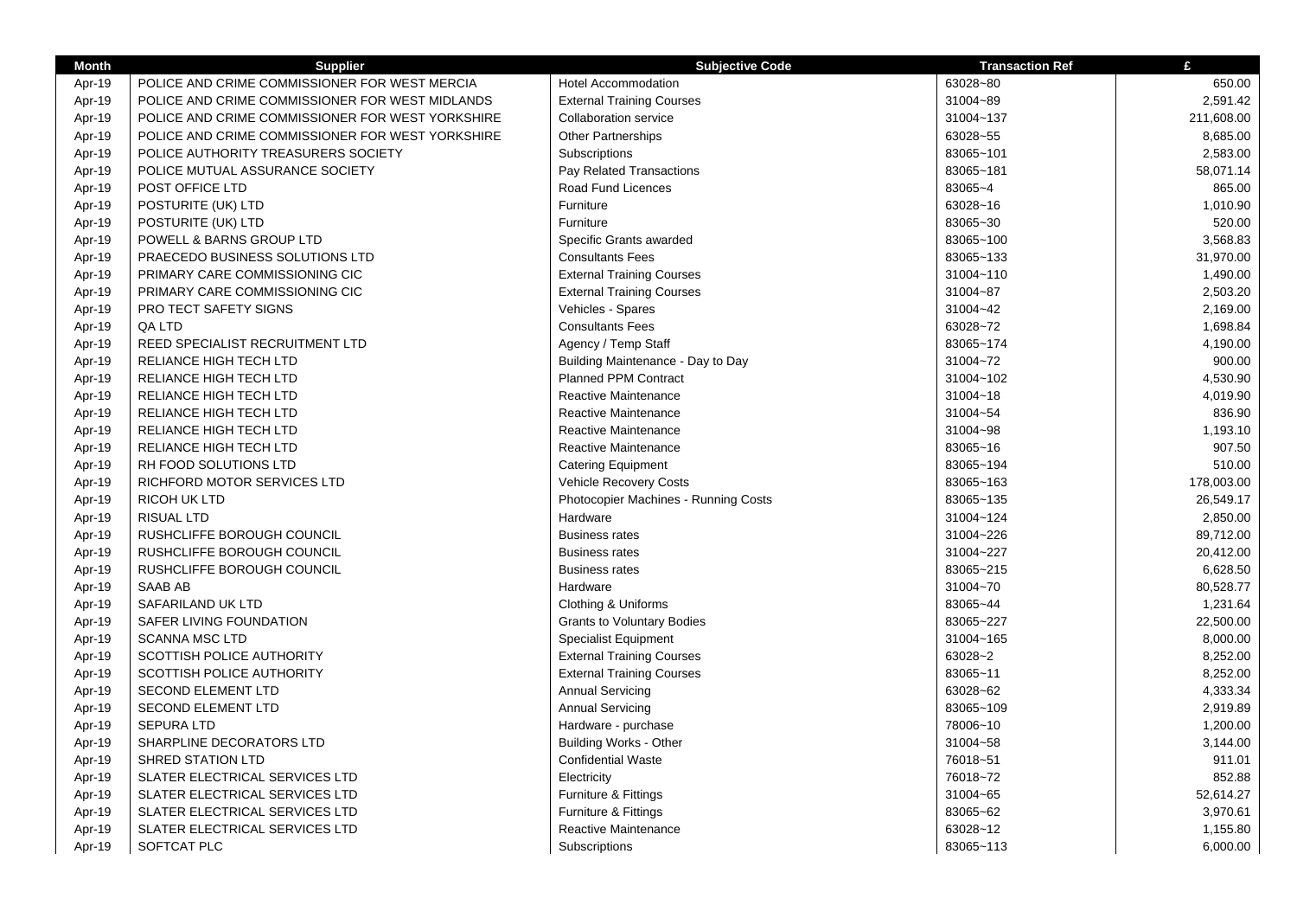| <b>Month</b> | <b>Supplier</b>                                  | <b>Subjective Code</b>               | <b>Transaction Ref</b> | £          |
|--------------|--------------------------------------------------|--------------------------------------|------------------------|------------|
| Apr-19       | POLICE AND CRIME COMMISSIONER FOR WEST MERCIA    | <b>Hotel Accommodation</b>           | 63028~80               | 650.00     |
| Apr-19       | POLICE AND CRIME COMMISSIONER FOR WEST MIDLANDS  | <b>External Training Courses</b>     | 31004~89               | 2,591.42   |
| Apr-19       | POLICE AND CRIME COMMISSIONER FOR WEST YORKSHIRE | <b>Collaboration service</b>         | 31004~137              | 211,608.00 |
| Apr-19       | POLICE AND CRIME COMMISSIONER FOR WEST YORKSHIRE | <b>Other Partnerships</b>            | 63028~55               | 8,685.00   |
| Apr-19       | POLICE AUTHORITY TREASURERS SOCIETY              | Subscriptions                        | 83065~101              | 2,583.00   |
| Apr-19       | POLICE MUTUAL ASSURANCE SOCIETY                  | Pay Related Transactions             | 83065~181              | 58,071.14  |
| Apr-19       | POST OFFICE LTD                                  | Road Fund Licences                   | 83065~4                | 865.00     |
| Apr-19       | POSTURITE (UK) LTD                               | Furniture                            | 63028~16               | 1,010.90   |
| Apr-19       | POSTURITE (UK) LTD                               | Furniture                            | 83065~30               | 520.00     |
| Apr-19       | POWELL & BARNS GROUP LTD                         | Specific Grants awarded              | 83065~100              | 3,568.83   |
| Apr-19       | PRAECEDO BUSINESS SOLUTIONS LTD                  | <b>Consultants Fees</b>              | 83065~133              | 31,970.00  |
| Apr-19       | PRIMARY CARE COMMISSIONING CIC                   | <b>External Training Courses</b>     | 31004~110              | 1,490.00   |
| Apr-19       | PRIMARY CARE COMMISSIONING CIC                   | <b>External Training Courses</b>     | 31004~87               | 2,503.20   |
| Apr-19       | PRO TECT SAFETY SIGNS                            | Vehicles - Spares                    | 31004~42               | 2,169.00   |
| Apr-19       | QA LTD                                           | <b>Consultants Fees</b>              | 63028~72               | 1,698.84   |
| Apr-19       | REED SPECIALIST RECRUITMENT LTD                  | Agency / Temp Staff                  | 83065~174              | 4,190.00   |
| Apr-19       | RELIANCE HIGH TECH LTD                           | Building Maintenance - Day to Day    | 31004~72               | 900.00     |
| Apr-19       | RELIANCE HIGH TECH LTD                           | <b>Planned PPM Contract</b>          | 31004~102              | 4,530.90   |
| Apr-19       | RELIANCE HIGH TECH LTD                           | Reactive Maintenance                 | 31004~18               | 4,019.90   |
| Apr-19       | RELIANCE HIGH TECH LTD                           | Reactive Maintenance                 | 31004~54               | 836.90     |
| Apr-19       | RELIANCE HIGH TECH LTD                           | Reactive Maintenance                 | 31004~98               | 1,193.10   |
| Apr-19       | <b>RELIANCE HIGH TECH LTD</b>                    | Reactive Maintenance                 | 83065~16               | 907.50     |
| Apr-19       | RH FOOD SOLUTIONS LTD                            | <b>Catering Equipment</b>            | 83065~194              | 510.00     |
| Apr-19       | RICHFORD MOTOR SERVICES LTD                      | <b>Vehicle Recovery Costs</b>        | 83065~163              | 178,003.00 |
| Apr-19       | <b>RICOH UK LTD</b>                              | Photocopier Machines - Running Costs | 83065~135              | 26,549.17  |
| Apr-19       | <b>RISUAL LTD</b>                                | Hardware                             | 31004~124              | 2,850.00   |
| Apr-19       | RUSHCLIFFE BOROUGH COUNCIL                       | <b>Business rates</b>                | 31004~226              | 89,712.00  |
| Apr-19       | RUSHCLIFFE BOROUGH COUNCIL                       | <b>Business rates</b>                | 31004~227              | 20,412.00  |
| Apr-19       | RUSHCLIFFE BOROUGH COUNCIL                       | <b>Business rates</b>                | 83065~215              | 6,628.50   |
| Apr-19       | SAAB AB                                          | Hardware                             | 31004~70               | 80,528.77  |
| Apr-19       | SAFARILAND UK LTD                                | Clothing & Uniforms                  | 83065~44               | 1,231.64   |
| Apr-19       | SAFER LIVING FOUNDATION                          | <b>Grants to Voluntary Bodies</b>    | 83065~227              | 22,500.00  |
| Apr-19       | <b>SCANNA MSC LTD</b>                            | <b>Specialist Equipment</b>          | 31004~165              | 8,000.00   |
| Apr-19       | SCOTTISH POLICE AUTHORITY                        | <b>External Training Courses</b>     | 63028~2                | 8,252.00   |
| Apr-19       | SCOTTISH POLICE AUTHORITY                        | <b>External Training Courses</b>     | 83065~11               | 8,252.00   |
| Apr-19       | SECOND ELEMENT LTD                               | <b>Annual Servicing</b>              | 63028~62               | 4,333.34   |
| Apr-19       | SECOND ELEMENT LTD                               | <b>Annual Servicing</b>              | 83065~109              | 2,919.89   |
| Apr-19       | <b>SEPURA LTD</b>                                | Hardware - purchase                  | 78006~10               | 1,200.00   |
| Apr-19       | SHARPLINE DECORATORS LTD                         | <b>Building Works - Other</b>        | 31004~58               | 3,144.00   |
| Apr-19       | <b>SHRED STATION LTD</b>                         | <b>Confidential Waste</b>            | 76018~51               | 911.01     |
| Apr-19       | SLATER ELECTRICAL SERVICES LTD                   | Electricity                          | 76018~72               | 852.88     |
| Apr-19       | SLATER ELECTRICAL SERVICES LTD                   | Furniture & Fittings                 | 31004~65               | 52,614.27  |
| Apr-19       | <b>SLATER ELECTRICAL SERVICES LTD</b>            | Furniture & Fittings                 | 83065~62               | 3,970.61   |
| Apr-19       | <b>SLATER ELECTRICAL SERVICES LTD</b>            | Reactive Maintenance                 | 63028~12               | 1,155.80   |
| Apr-19       | SOFTCAT PLC                                      | Subscriptions                        | 83065~113              | 6,000.00   |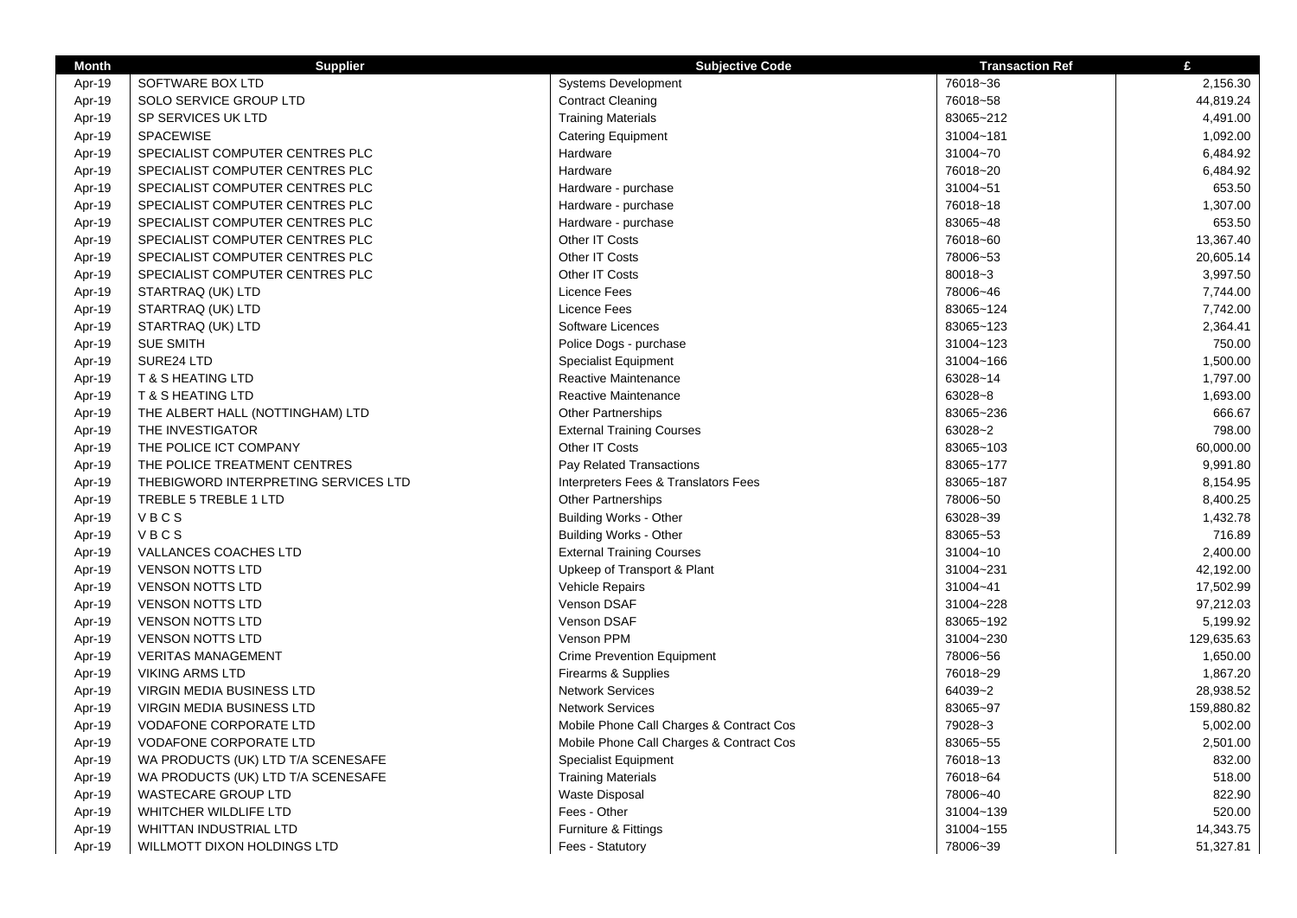| <b>Month</b> | <b>Supplier</b>                      | <b>Subjective Code</b>                   | <b>Transaction Ref</b> | £          |
|--------------|--------------------------------------|------------------------------------------|------------------------|------------|
| Apr-19       | SOFTWARE BOX LTD                     | <b>Systems Development</b>               | 76018~36               | 2,156.30   |
| Apr-19       | SOLO SERVICE GROUP LTD               | <b>Contract Cleaning</b>                 | 76018~58               | 44,819.24  |
| Apr-19       | SP SERVICES UK LTD                   | <b>Training Materials</b>                | 83065~212              | 4,491.00   |
| Apr-19       | <b>SPACEWISE</b>                     | <b>Catering Equipment</b>                | 31004~181              | 1,092.00   |
| Apr-19       | SPECIALIST COMPUTER CENTRES PLC      | Hardware                                 | 31004~70               | 6,484.92   |
| Apr-19       | SPECIALIST COMPUTER CENTRES PLC      | Hardware                                 | 76018~20               | 6,484.92   |
| Apr-19       | SPECIALIST COMPUTER CENTRES PLC      | Hardware - purchase                      | 31004~51               | 653.50     |
| Apr-19       | SPECIALIST COMPUTER CENTRES PLC      | Hardware - purchase                      | 76018~18               | 1,307.00   |
| Apr-19       | SPECIALIST COMPUTER CENTRES PLC      | Hardware - purchase                      | 83065~48               | 653.50     |
| Apr-19       | SPECIALIST COMPUTER CENTRES PLC      | Other IT Costs                           | 76018~60               | 13,367.40  |
| Apr-19       | SPECIALIST COMPUTER CENTRES PLC      | Other IT Costs                           | 78006~53               | 20,605.14  |
| Apr-19       | SPECIALIST COMPUTER CENTRES PLC      | Other IT Costs                           | 80018~3                | 3,997.50   |
| Apr-19       | STARTRAQ (UK) LTD                    | Licence Fees                             | 78006~46               | 7,744.00   |
| Apr-19       | STARTRAQ (UK) LTD                    | Licence Fees                             | 83065~124              | 7,742.00   |
| Apr-19       | STARTRAQ (UK) LTD                    | Software Licences                        | 83065~123              | 2,364.41   |
| Apr-19       | <b>SUE SMITH</b>                     | Police Dogs - purchase                   | 31004~123              | 750.00     |
| Apr-19       | SURE24 LTD                           | <b>Specialist Equipment</b>              | 31004~166              | 1,500.00   |
| Apr-19       | <b>T &amp; S HEATING LTD</b>         | Reactive Maintenance                     | 63028~14               | 1,797.00   |
| Apr-19       | <b>T &amp; S HEATING LTD</b>         | Reactive Maintenance                     | 63028~8                | 1,693.00   |
| Apr-19       | THE ALBERT HALL (NOTTINGHAM) LTD     | <b>Other Partnerships</b>                | 83065~236              | 666.67     |
| Apr-19       | THE INVESTIGATOR                     | <b>External Training Courses</b>         | 63028~2                | 798.00     |
| Apr-19       | THE POLICE ICT COMPANY               | Other IT Costs                           | 83065~103              | 60,000.00  |
| Apr-19       | THE POLICE TREATMENT CENTRES         | Pay Related Transactions                 | 83065~177              | 9,991.80   |
| Apr-19       | THEBIGWORD INTERPRETING SERVICES LTD | Interpreters Fees & Translators Fees     | 83065~187              | 8,154.95   |
| Apr-19       | TREBLE 5 TREBLE 1 LTD                | <b>Other Partnerships</b>                | 78006~50               | 8,400.25   |
| Apr-19       | VBCS                                 | <b>Building Works - Other</b>            | 63028~39               | 1,432.78   |
| Apr-19       | VBCS                                 | <b>Building Works - Other</b>            | 83065~53               | 716.89     |
| Apr-19       | VALLANCES COACHES LTD                | <b>External Training Courses</b>         | 31004~10               | 2,400.00   |
| Apr-19       | <b>VENSON NOTTS LTD</b>              | Upkeep of Transport & Plant              | 31004~231              | 42,192.00  |
| Apr-19       | <b>VENSON NOTTS LTD</b>              | Vehicle Repairs                          | 31004~41               | 17,502.99  |
| Apr-19       | <b>VENSON NOTTS LTD</b>              | Venson DSAF                              | 31004~228              | 97,212.03  |
| Apr-19       | <b>VENSON NOTTS LTD</b>              | Venson DSAF                              | 83065~192              | 5,199.92   |
| Apr-19       | <b>VENSON NOTTS LTD</b>              | Venson PPM                               | 31004~230              | 129,635.63 |
| Apr-19       | <b>VERITAS MANAGEMENT</b>            | <b>Crime Prevention Equipment</b>        | 78006~56               | 1,650.00   |
| Apr-19       | <b>VIKING ARMS LTD</b>               | Firearms & Supplies                      | 76018~29               | 1,867.20   |
| Apr-19       | <b>VIRGIN MEDIA BUSINESS LTD</b>     | <b>Network Services</b>                  | 64039~2                | 28,938.52  |
| Apr-19       | VIRGIN MEDIA BUSINESS LTD            | <b>Network Services</b>                  | 83065~97               | 159,880.82 |
| Apr-19       | <b>VODAFONE CORPORATE LTD</b>        | Mobile Phone Call Charges & Contract Cos | 79028~3                | 5,002.00   |
| Apr-19       | <b>VODAFONE CORPORATE LTD</b>        | Mobile Phone Call Charges & Contract Cos | 83065~55               | 2,501.00   |
| Apr-19       | WA PRODUCTS (UK) LTD T/A SCENESAFE   | <b>Specialist Equipment</b>              | 76018~13               | 832.00     |
| Apr-19       | WA PRODUCTS (UK) LTD T/A SCENESAFE   | <b>Training Materials</b>                | 76018~64               | 518.00     |
| Apr-19       | <b>WASTECARE GROUP LTD</b>           | Waste Disposal                           | 78006~40               | 822.90     |
| Apr-19       | WHITCHER WILDLIFE LTD                | Fees - Other                             | 31004~139              | 520.00     |
| Apr-19       | <b>WHITTAN INDUSTRIAL LTD</b>        | Furniture & Fittings                     | 31004~155              | 14,343.75  |
| Apr-19       | WILLMOTT DIXON HOLDINGS LTD          | Fees - Statutory                         | 78006~39               | 51,327.81  |